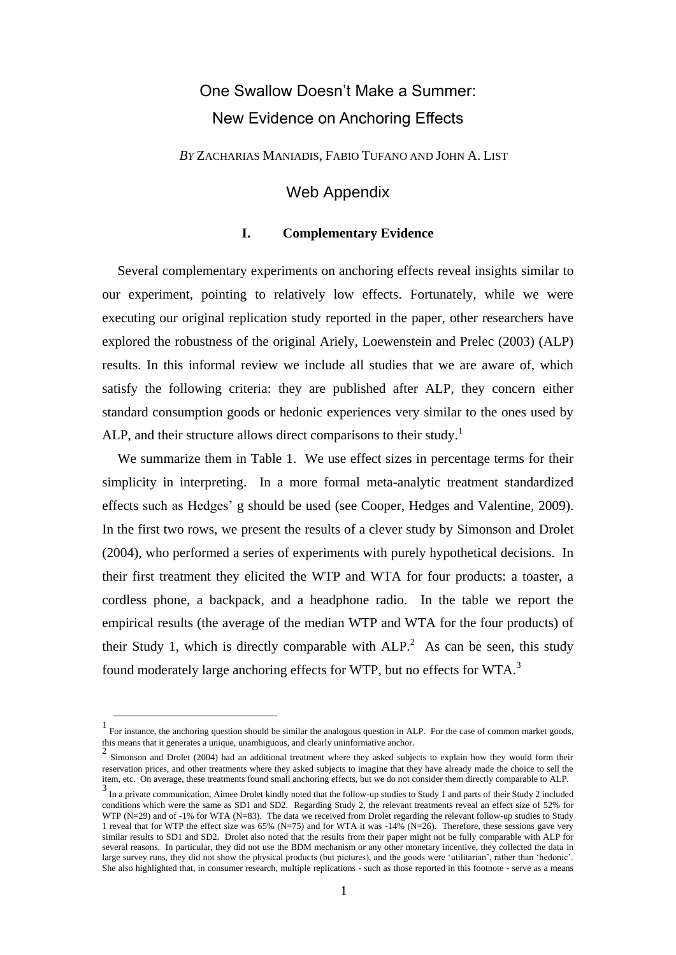# One Swallow Doesn't Make a Summer: New Evidence on Anchoring Effects

*BY* ZACHARIAS MANIADIS, FABIO TUFANO AND JOHN A. LIST

## Web Appendix

#### **I. Complementary Evidence**

Several complementary experiments on anchoring effects reveal insights similar to our experiment, pointing to relatively low effects. Fortunately, while we were executing our original replication study reported in the paper, other researchers have explored the robustness of the original Ariely, Loewenstein and Prelec (2003) (ALP) results. In this informal review we include all studies that we are aware of, which satisfy the following criteria: they are published after ALP, they concern either standard consumption goods or hedonic experiences very similar to the ones used by ALP, and their structure allows direct comparisons to their study.<sup>1</sup>

We summarize them in Table 1. We use effect sizes in percentage terms for their simplicity in interpreting. In a more formal meta-analytic treatment standardized effects such as Hedges' g should be used (see Cooper, Hedges and Valentine, 2009). In the first two rows, we present the results of a clever study by Simonson and Drolet (2004), who performed a series of experiments with purely hypothetical decisions. In their first treatment they elicited the WTP and WTA for four products: a toaster, a cordless phone, a backpack, and a headphone radio. In the table we report the empirical results (the average of the median WTP and WTA for the four products) of their Study 1, which is directly comparable with  $ALP<sup>2</sup>$ . As can be seen, this study found moderately large anchoring effects for WTP, but no effects for WTA.<sup>3</sup>

<u>.</u>

<sup>1</sup> For instance, the anchoring question should be similar the analogous question in ALP. For the case of common market goods, this means that it generates a unique, unambiguous, and clearly uninformative anchor.

<sup>&</sup>lt;sup>2</sup> Simonson and Drolet (2004) had an additional treatment where they asked subjects to explain how they would form their reservation prices, and other treatments where they asked subjects to imagine that they have already made the choice to sell the item, etc. On average, these treatments found small anchoring effects, but we do not consider them directly comparable to ALP.

<sup>3</sup> In a private communication, Aimee Drolet kindly noted that the follow-up studies to Study 1 and parts of their Study 2 included conditions which were the same as SD1 and SD2. Regarding Study 2, the relevant treatments reveal an effect size of 52% for WTP (N=29) and of -1% for WTA (N=83). The data we received from Drolet regarding the relevant follow-up studies to Study 1 reveal that for WTP the effect size was 65% (N=75) and for WTA it was -14% (N=26). Therefore, these sessions gave very similar results to SD1 and SD2. Drolet also noted that the results from their paper might not be fully comparable with ALP for several reasons. In particular, they did not use the BDM mechanism or any other monetary incentive, they collected the data in large survey runs, they did not show the physical products (but pictures), and the goods were 'utilitarian', rather than 'hedonic'. She also highlighted that, in consumer research, multiple replications - such as those reported in this footnote - serve as a means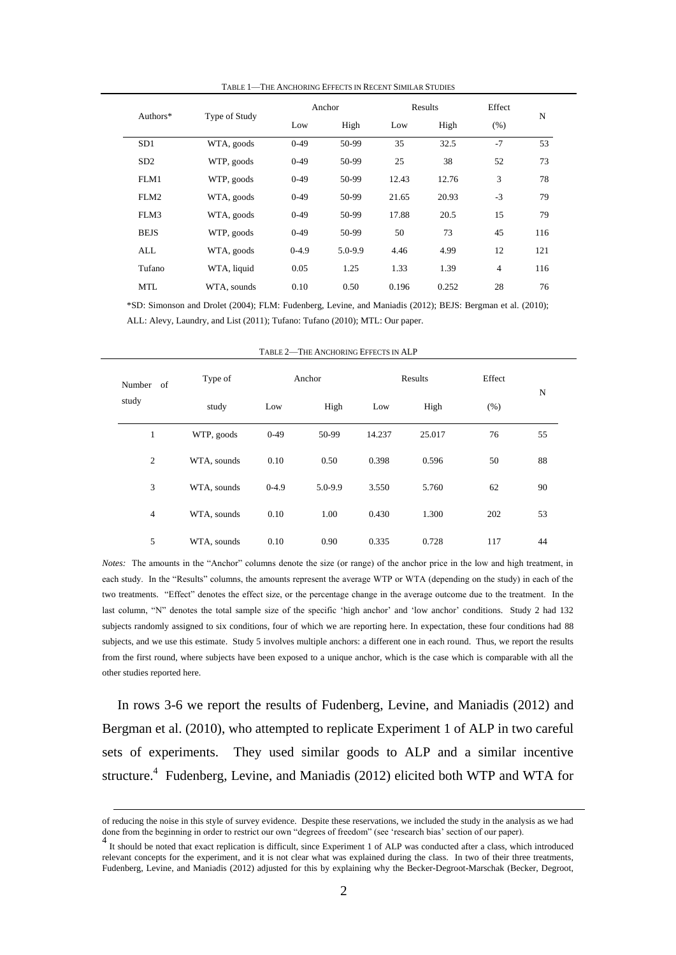TABLE 1—THE ANCHORING EFFECTS IN RECENT SIMILAR STUDIES

|             |               |         | Anchor      |       | Results | Effect         |     |  |
|-------------|---------------|---------|-------------|-------|---------|----------------|-----|--|
| Authors $*$ | Type of Study | Low     | High        | Low   | High    | (% )           | N   |  |
| SD1         | WTA, goods    | $0-49$  | 50-99       | 35    | 32.5    | $-7$           | 53  |  |
| SD2         | WTP, goods    | $0-49$  | 50-99       | 25    | 38      | 52             | 73  |  |
| FLM1        | WTP, goods    | $0-49$  | 50-99       | 12.43 | 12.76   | 3              | 78  |  |
| FLM2        | WTA, goods    | $0-49$  | 50-99       | 21.65 | 20.93   | $-3$           | 79  |  |
| FLM3        | WTA, goods    | $0-49$  | 50-99       | 17.88 | 20.5    | 15             | 79  |  |
| <b>BEJS</b> | WTP, goods    | $0-49$  | 50-99       | 50    | 73      | 45             | 116 |  |
| ALL         | WTA, goods    | $0-4.9$ | $5.0 - 9.9$ | 4.46  | 4.99    | 12             | 121 |  |
| Tufano      | WTA, liquid   | 0.05    | 1.25        | 1.33  | 1.39    | $\overline{4}$ | 116 |  |
| MTL         | WTA, sounds   | 0.10    | 0.50        | 0.196 | 0.252   | 28             | 76  |  |

\*SD: Simonson and Drolet (2004); FLM: Fudenberg, Levine, and Maniadis (2012); BEJS: Bergman et al. (2010); ALL: Alevy, Laundry, and List (2011); Tufano: Tufano (2010); MTL: Our paper.

| Number of<br>study | Type of     | Anchor  |         |        | Results |      | Effect      |
|--------------------|-------------|---------|---------|--------|---------|------|-------------|
|                    | study       | Low     | High    | Low    | High    | (% ) | $\mathbf N$ |
| 1                  | WTP, goods  | $0-49$  | 50-99   | 14.237 | 25.017  | 76   | 55          |
| $\overline{2}$     | WTA, sounds | 0.10    | 0.50    | 0.398  | 0.596   | 50   | 88          |
| 3                  | WTA, sounds | $0-4.9$ | 5.0-9.9 | 3.550  | 5.760   | 62   | 90          |
| $\overline{4}$     | WTA, sounds | 0.10    | 1.00    | 0.430  | 1.300   | 202  | 53          |
| 5                  | WTA, sounds | 0.10    | 0.90    | 0.335  | 0.728   | 117  | 44          |

TABLE 2—THE ANCHORING EFFECTS IN ALP

*Notes:* The amounts in the "Anchor" columns denote the size (or range) of the anchor price in the low and high treatment, in each study. In the "Results" columns, the amounts represent the average WTP or WTA (depending on the study) in each of the two treatments. "Effect" denotes the effect size, or the percentage change in the average outcome due to the treatment. In the last column, "N" denotes the total sample size of the specific 'high anchor' and 'low anchor' conditions. Study 2 had 132 subjects randomly assigned to six conditions, four of which we are reporting here. In expectation, these four conditions had 88 subjects, and we use this estimate. Study 5 involves multiple anchors: a different one in each round. Thus, we report the results from the first round, where subjects have been exposed to a unique anchor, which is the case which is comparable with all the other studies reported here.

In rows 3-6 we report the results of Fudenberg, Levine, and Maniadis (2012) and Bergman et al. (2010), who attempted to replicate Experiment 1 of ALP in two careful sets of experiments. They used similar goods to ALP and a similar incentive structure.<sup>4</sup> Fudenberg, Levine, and Maniadis (2012) elicited both WTP and WTA for

1

of reducing the noise in this style of survey evidence. Despite these reservations, we included the study in the analysis as we had done from the beginning in order to restrict our own "degrees of freedom" (see 'research bias' section of our paper). 4

It should be noted that exact replication is difficult, since Experiment 1 of ALP was conducted after a class, which introduced relevant concepts for the experiment, and it is not clear what was explained during the class. In two of their three treatments, Fudenberg, Levine, and Maniadis (2012) adjusted for this by explaining why the Becker-Degroot-Marschak (Becker, Degroot,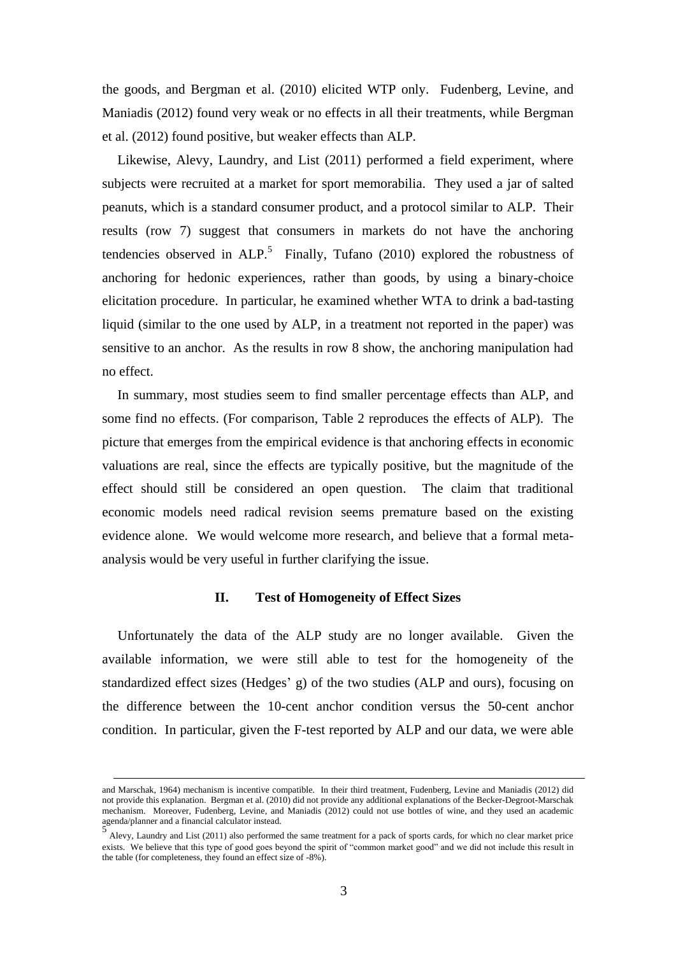the goods, and Bergman et al. (2010) elicited WTP only. Fudenberg, Levine, and Maniadis (2012) found very weak or no effects in all their treatments, while Bergman et al. (2012) found positive, but weaker effects than ALP.

Likewise, Alevy, Laundry, and List (2011) performed a field experiment, where subjects were recruited at a market for sport memorabilia. They used a jar of salted peanuts, which is a standard consumer product, and a protocol similar to ALP. Their results (row 7) suggest that consumers in markets do not have the anchoring tendencies observed in ALP.<sup>5</sup> Finally, Tufano (2010) explored the robustness of anchoring for hedonic experiences, rather than goods, by using a binary-choice elicitation procedure. In particular, he examined whether WTA to drink a bad-tasting liquid (similar to the one used by ALP, in a treatment not reported in the paper) was sensitive to an anchor. As the results in row 8 show, the anchoring manipulation had no effect.

In summary, most studies seem to find smaller percentage effects than ALP, and some find no effects. (For comparison, Table 2 reproduces the effects of ALP). The picture that emerges from the empirical evidence is that anchoring effects in economic valuations are real, since the effects are typically positive, but the magnitude of the effect should still be considered an open question. The claim that traditional economic models need radical revision seems premature based on the existing evidence alone. We would welcome more research, and believe that a formal metaanalysis would be very useful in further clarifying the issue.

### **II. Test of Homogeneity of Effect Sizes**

Unfortunately the data of the ALP study are no longer available. Given the available information, we were still able to test for the homogeneity of the standardized effect sizes (Hedges' g) of the two studies (ALP and ours), focusing on the difference between the 10-cent anchor condition versus the 50-cent anchor condition. In particular, given the F-test reported by ALP and our data, we were able

<u>.</u>

and Marschak, 1964) mechanism is incentive compatible. In their third treatment, Fudenberg, Levine and Maniadis (2012) did not provide this explanation. Bergman et al. (2010) did not provide any additional explanations of the Becker-Degroot-Marschak mechanism. Moreover, Fudenberg, Levine, and Maniadis (2012) could not use bottles of wine, and they used an academic agenda/planner and a financial calculator instead.<br>
5

Alevy, Laundry and List (2011) also performed the same treatment for a pack of sports cards, for which no clear market price exists. We believe that this type of good goes beyond the spirit of "common market good" and we did not include this result in the table (for completeness, they found an effect size of -8%).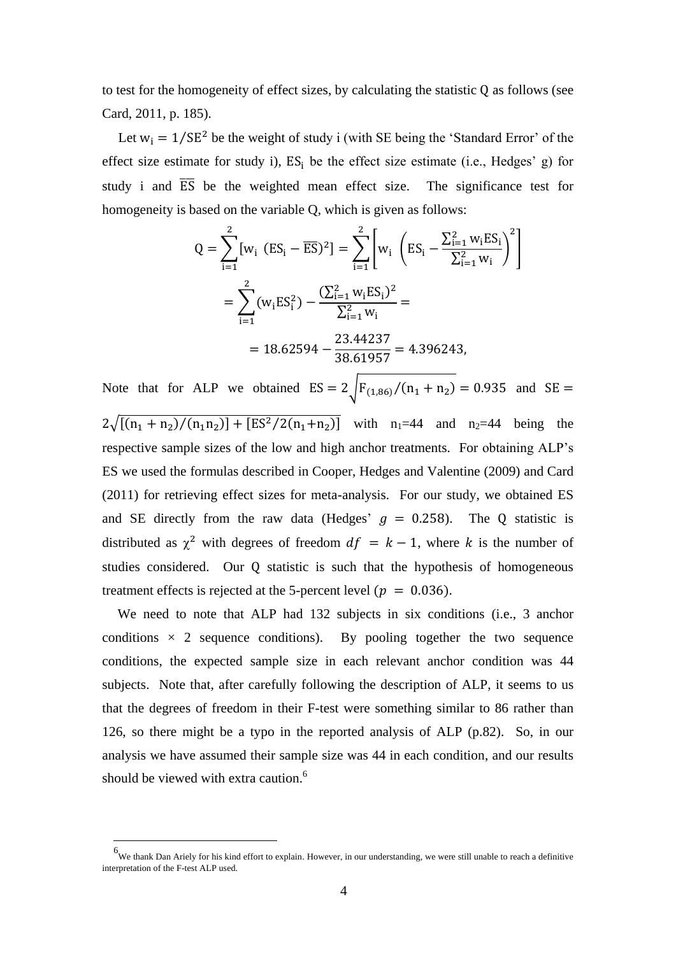to test for the homogeneity of effect sizes, by calculating the statistic  $Q$  as follows (see Card, 2011, p. 185).

Let  $w_i = 1/SE^2$  be the weight of study i (with SE being the 'Standard Error' of the effect size estimate for study i),  $ES_i$  be the effect size estimate (i.e., Hedges' g) for study i and  $\overline{ES}$  be the weighted mean effect size. The significance test for homogeneity is based on the variable Q, which is given as follows:

$$
Q = \sum_{i=1}^{2} [w_i (ES_i - \overline{ES})^2] = \sum_{i=1}^{2} \left[ w_i \left( ES_i - \frac{\sum_{i=1}^{2} w_i ES_i}{\sum_{i=1}^{2} w_i} \right)^2 \right]
$$
  
= 
$$
\sum_{i=1}^{2} (w_i ES_i^2) - \frac{(\sum_{i=1}^{2} w_i ES_i)^2}{\sum_{i=1}^{2} w_i} =
$$
  
= 18.62594 - 
$$
\frac{23.44237}{38.61957} = 4.396243,
$$

Note that for ALP we obtained  $ES = 2 \int_{r_{(1,86)}}^{r_{(1,86)}}/(n_1 + n_2) = 0.935$  and

 $2\sqrt{[(n_1 + n_2)/(n_1n_2)] + [ES^2/2(n_1+n_2)]}$  with n<sub>1</sub>=44 and n<sub>2</sub>=44 being the respective sample sizes of the low and high anchor treatments. For obtaining ALP's ES we used the formulas described in Cooper, Hedges and Valentine (2009) and Card (2011) for retrieving effect sizes for meta-analysis. For our study, we obtained ES and SE directly from the raw data (Hedges'  $g = 0.258$ ). The Q statistic is distributed as  $\chi^2$  with degrees of freedom  $df = k - 1$ , where k is the number of studies considered. Our Q statistic is such that the hypothesis of homogeneous treatment effects is rejected at the 5-percent level ( $p = 0.036$ ).

We need to note that ALP had 132 subjects in six conditions (i.e., 3 anchor conditions  $\times$  2 sequence conditions). By pooling together the two sequence conditions, the expected sample size in each relevant anchor condition was 44 subjects. Note that, after carefully following the description of ALP, it seems to us that the degrees of freedom in their F-test were something similar to 86 rather than 126, so there might be a typo in the reported analysis of ALP (p.82). So, in our analysis we have assumed their sample size was 44 in each condition, and our results should be viewed with extra caution.<sup>6</sup>

1

<sup>&</sup>lt;sup>6</sup>We thank Dan Ariely for his kind effort to explain. However, in our understanding, we were still unable to reach a definitive interpretation of the F-test ALP used.